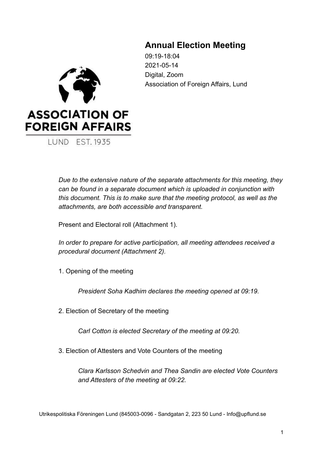## **Annual Election Meeting**

09:19-18:04 2021-05-14 Digital, Zoom Association of Foreign Affairs, Lund



LUND EST. 1935

*Due to the extensive nature of the separate attachments for this meeting, they can be found in a separate document which is uploaded in conjunction with this document. This is to make sure that the meeting protocol, as well as the attachments, are both accessible and transparent.*

Present and Electoral roll (Attachment 1).

*In order to prepare for active participation, all meeting attendees received a procedural document (Attachment 2).*

1. Opening of the meeting

*President Soha Kadhim declares the meeting opened at 09:19.*

2. Election of Secretary of the meeting

*Carl Cotton is elected Secretary of the meeting at 09:20.*

3. Election of Attesters and Vote Counters of the meeting

*Clara Karlsson Schedvin and Thea Sandin are elected Vote Counters and Attesters of the meeting at 09:22.*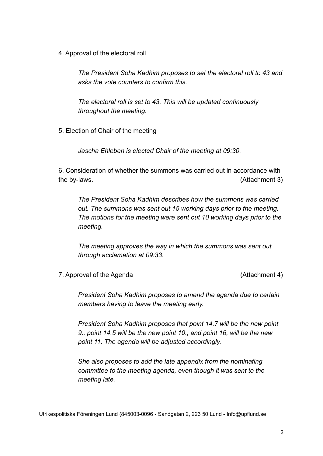4. Approval of the electoral roll

*The President Soha Kadhim proposes to set the electoral roll to 43 and asks the vote counters to confirm this.*

*The electoral roll is set to 43. This will be updated continuously throughout the meeting.*

5. Election of Chair of the meeting

*Jascha Ehleben is elected Chair of the meeting at 09:30.*

6. Consideration of whether the summons was carried out in accordance with the by-laws. (Attachment 3)

*The President Soha Kadhim describes how the summons was carried out. The summons was sent out 15 working days prior to the meeting. The motions for the meeting were sent out 10 working days prior to the meeting.*

*The meeting approves the way in which the summons was sent out through acclamation at 09:33.*

7. Approval of the Agenda (Attachment 4)

*President Soha Kadhim proposes to amend the agenda due to certain members having to leave the meeting early.*

*President Soha Kadhim proposes that point 14.7 will be the new point 9., point 14.5 will be the new point 10., and point 16, will be the new point 11. The agenda will be adjusted accordingly.*

*She also proposes to add the late appendix from the nominating committee to the meeting agenda, even though it was sent to the meeting late.*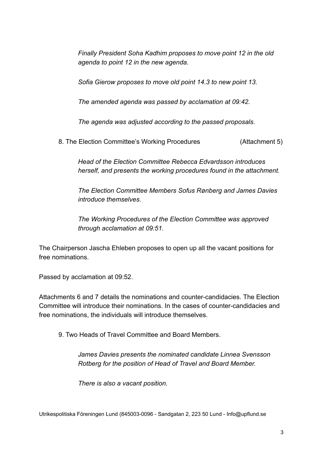*Finally President Soha Kadhim proposes to move point 12 in the old agenda to point 12 in the new agenda.*

*Sofia Gierow proposes to move old point 14.3 to new point 13.*

*The amended agenda was passed by acclamation at 09:42.*

*The agenda was adjusted according to the passed proposals.*

8. The Election Committee's Working Procedures (Attachment 5)

*Head of the Election Committee Rebecca Edvardsson introduces herself, and presents the working procedures found in the attachment.*

*The Election Committee Members Sofus Rønberg and James Davies introduce themselves.*

*The Working Procedures of the Election Committee was approved through acclamation at 09:51.*

The Chairperson Jascha Ehleben proposes to open up all the vacant positions for free nominations.

Passed by acclamation at 09:52.

Attachments 6 and 7 details the nominations and counter-candidacies. The Election Committee will introduce their nominations. In the cases of counter-candidacies and free nominations, the individuals will introduce themselves.

9. Two Heads of Travel Committee and Board Members.

*James Davies presents the nominated candidate Linnea Svensson Rotberg for the position of Head of Travel and Board Member.*

*There is also a vacant position.*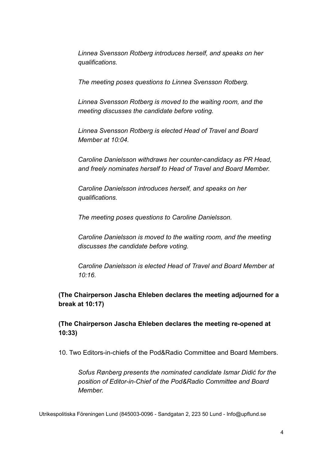*Linnea Svensson Rotberg introduces herself, and speaks on her qualifications.*

*The meeting poses questions to Linnea Svensson Rotberg.*

*Linnea Svensson Rotberg is moved to the waiting room, and the meeting discusses the candidate before voting.*

*Linnea Svensson Rotberg is elected Head of Travel and Board Member at 10:04.*

*Caroline Danielsson withdraws her counter-candidacy as PR Head, and freely nominates herself to Head of Travel and Board Member.*

*Caroline Danielsson introduces herself, and speaks on her qualifications.*

*The meeting poses questions to Caroline Danielsson.*

*Caroline Danielsson is moved to the waiting room, and the meeting discusses the candidate before voting.*

*Caroline Danielsson is elected Head of Travel and Board Member at 10:16.*

**(The Chairperson Jascha Ehleben declares the meeting adjourned for a break at 10:17)**

**(The Chairperson Jascha Ehleben declares the meeting re-opened at 10:33)**

10. Two Editors-in-chiefs of the Pod&Radio Committee and Board Members.

*Sofus Rønberg presents the nominated candidate Ismar Didić for the position of Editor-in-Chief of the Pod&Radio Committee and Board Member.*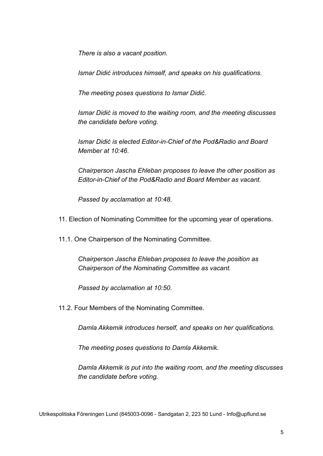*There is also a vacant position.*

*Ismar Didić introduces himself, and speaks on his qualifications.*

*The meeting poses questions to Ismar Didić.*

*Ismar Didić is moved to the waiting room, and the meeting discusses the candidate before voting.*

*Ismar Didić is elected Editor-in-Chief of the Pod&Radio and Board Member at 10:46.*

*Chairperson Jascha Ehleban proposes to leave the other position as Editor-in-Chief of the Pod&Radio and Board Member as vacant.*

*Passed by acclamation at 10:48.*

11. Election of Nominating Committee for the upcoming year of operations.

11.1. One Chairperson of the Nominating Committee.

*Chairperson Jascha Ehleban proposes to leave the position as Chairperson of the Nominating Committee as vacant.*

*Passed by acclamation at 10:50.*

11.2. Four Members of the Nominating Committee.

*Damla Akkemik introduces herself, and speaks on her qualifications.*

*The meeting poses questions to Damla Akkemik.*

*Damla Akkemik is put into the waiting room, and the meeting discusses the candidate before voting.*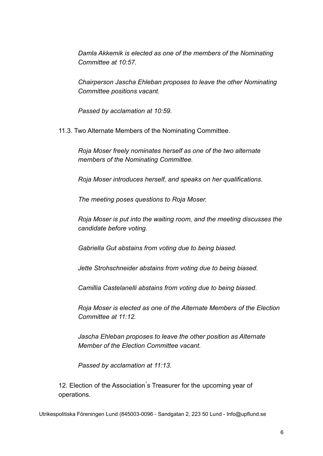*Damla Akkemik is elected as one of the members of the Nominating Committee at 10:57.*

*Chairperson Jascha Ehleban proposes to leave the other Nominating Committee positions vacant.*

*Passed by acclamation at 10:59.*

11.3. Two Alternate Members of the Nominating Committee.

*Roja Moser freely nominates herself as one of the two alternate members of the Nominating Committee.*

*Roja Moser introduces herself, and speaks on her qualifications.*

*The meeting poses questions to Roja Moser.*

*Roja Moser is put into the waiting room, and the meeting discusses the candidate before voting.*

*Gabriella Gut abstains from voting due to being biased.*

*Jette Strohschneider abstains from voting due to being biased.*

*Camillia Castelanelli abstains from voting due to being biased.*

*Roja Moser is elected as one of the Alternate Members of the Election Committee at 11:12.*

*Jascha Ehleban proposes to leave the other position as Alternate Member of the Election Committee vacant.*

*Passed by acclamation at 11:13.*

12. Election of the Association's Treasurer for the upcoming year of operations.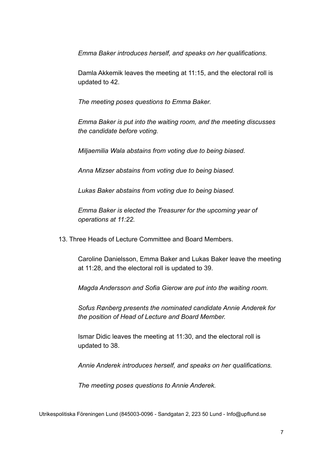*Emma Baker introduces herself, and speaks on her qualifications.*

Damla Akkemik leaves the meeting at 11:15, and the electoral roll is updated to 42.

*The meeting poses questions to Emma Baker.*

*Emma Baker is put into the waiting room, and the meeting discusses the candidate before voting.*

*Miljaemilia Wala abstains from voting due to being biased.*

*Anna Mizser abstains from voting due to being biased.*

*Lukas Baker abstains from voting due to being biased.*

*Emma Baker is elected the Treasurer for the upcoming year of operations at 11:22.*

13. Three Heads of Lecture Committee and Board Members.

Caroline Danielsson, Emma Baker and Lukas Baker leave the meeting at 11:28, and the electoral roll is updated to 39.

*Magda Andersson and Sofia Gierow are put into the waiting room.*

*Sofus Rønberg presents the nominated candidate Annie Anderek for the position of Head of Lecture and Board Member.*

Ismar Didic leaves the meeting at 11:30, and the electoral roll is updated to 38.

*Annie Anderek introduces herself, and speaks on her qualifications.*

*The meeting poses questions to Annie Anderek.*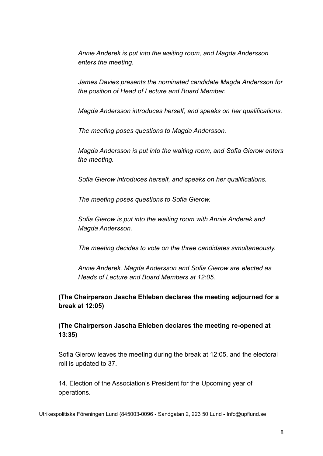*Annie Anderek is put into the waiting room, and Magda Andersson enters the meeting.*

*James Davies presents the nominated candidate Magda Andersson for the position of Head of Lecture and Board Member.*

*Magda Andersson introduces herself, and speaks on her qualifications.*

*The meeting poses questions to Magda Andersson.*

*Magda Andersson is put into the waiting room, and Sofia Gierow enters the meeting.*

*Sofia Gierow introduces herself, and speaks on her qualifications.*

*The meeting poses questions to Sofia Gierow.*

*Sofia Gierow is put into the waiting room with Annie Anderek and Magda Andersson.*

*The meeting decides to vote on the three candidates simultaneously.*

*Annie Anderek, Magda Andersson and Sofia Gierow are elected as Heads of Lecture and Board Members at 12:05.*

**(The Chairperson Jascha Ehleben declares the meeting adjourned for a break at 12:05)**

**(The Chairperson Jascha Ehleben declares the meeting re-opened at 13:35)**

Sofia Gierow leaves the meeting during the break at 12:05, and the electoral roll is updated to 37.

14. Election of the Association's President for the Upcoming year of operations.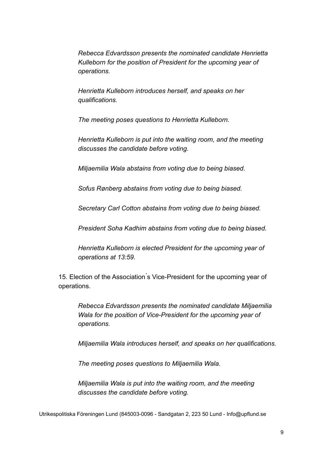*Rebecca Edvardsson presents the nominated candidate Henrietta Kulleborn for the position of President for the upcoming year of operations.*

*Henrietta Kulleborn introduces herself, and speaks on her qualifications.*

*The meeting poses questions to Henrietta Kulleborn.*

*Henrietta Kulleborn is put into the waiting room, and the meeting discusses the candidate before voting.*

*Miljaemilia Wala abstains from voting due to being biased.*

*Sofus Rønberg abstains from voting due to being biased.*

*Secretary Carl Cotton abstains from voting due to being biased.*

*President Soha Kadhim abstains from voting due to being biased.*

*Henrietta Kulleborn is elected President for the upcoming year of operations at 13:59.*

15. Election of the Association ́s Vice-President for the upcoming year of operations.

*Rebecca Edvardsson presents the nominated candidate Miljaemilia Wala for the position of Vice-President for the upcoming year of operations.*

*Miljaemilia Wala introduces herself, and speaks on her qualifications.*

*The meeting poses questions to Miljaemilia Wala.*

*Miljaemilia Wala is put into the waiting room, and the meeting discusses the candidate before voting.*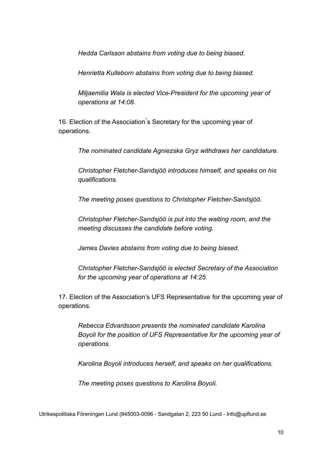*Hedda Carlsson abstains from voting due to being biased.*

*Henrietta Kulleborn abstains from voting due to being biased.*

*Miljaemilia Wala is elected Vice-President for the upcoming year of operations at 14:08.*

16. Election of the Association ́s Secretary for the upcoming year of operations.

*The nominated candidate Agniezska Gryz withdraws her candidature.*

*Christopher Fletcher-Sandsjöö introduces himself, and speaks on his qualifications.*

*The meeting poses questions to Christopher Fletcher-Sandsjöö.*

*Christopher Fletcher-Sandsjöö is put into the waiting room, and the meeting discusses the candidate before voting.*

*James Davies abstains from voting due to being biased.*

*Christopher Fletcher-Sandsjöö is elected Secretary of the Association for the upcoming year of operations at 14:25.*

17. Election of the Association's UFS Representative for the upcoming year of operations.

*Rebecca Edvardsson presents the nominated candidate Karolina Boyoli for the position of UFS Representative for the upcoming year of operations.*

*Karolina Boyoli introduces herself, and speaks on her qualifications.*

*The meeting poses questions to Karolina Boyoli.*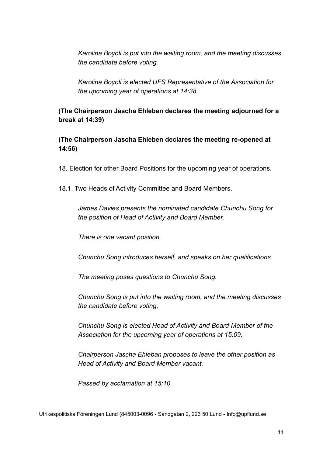*Karolina Boyoli is put into the waiting room, and the meeting discusses the candidate before voting.*

*Karolina Boyoli is elected UFS Representative of the Association for the upcoming year of operations at 14:38.*

**(The Chairperson Jascha Ehleben declares the meeting adjourned for a break at 14:39)**

**(The Chairperson Jascha Ehleben declares the meeting re-opened at 14:56)**

18. Election for other Board Positions for the upcoming year of operations.

18.1. Two Heads of Activity Committee and Board Members.

*James Davies presents the nominated candidate Chunchu Song for the position of Head of Activity and Board Member.*

*There is one vacant position.*

*Chunchu Song introduces herself, and speaks on her qualifications.*

*The meeting poses questions to Chunchu Song.*

*Chunchu Song is put into the waiting room, and the meeting discusses the candidate before voting.*

*Chunchu Song is elected Head of Activity and Board Member of the Association for the upcoming year of operations at 15:09.*

*Chairperson Jascha Ehleban proposes to leave the other position as Head of Activity and Board Member vacant.*

*Passed by acclamation at 15:10.*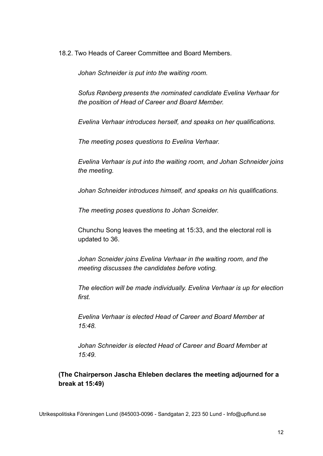18.2. Two Heads of Career Committee and Board Members.

*Johan Schneider is put into the waiting room.*

*Sofus Rønberg presents the nominated candidate Evelina Verhaar for the position of Head of Career and Board Member.*

*Evelina Verhaar introduces herself, and speaks on her qualifications.*

*The meeting poses questions to Evelina Verhaar.*

*Evelina Verhaar is put into the waiting room, and Johan Schneider joins the meeting.*

*Johan Schneider introduces himself, and speaks on his qualifications.*

*The meeting poses questions to Johan Scneider.*

Chunchu Song leaves the meeting at 15:33, and the electoral roll is updated to 36.

*Johan Scneider joins Evelina Verhaar in the waiting room, and the meeting discusses the candidates before voting.*

*The election will be made individually. Evelina Verhaar is up for election first.*

*Evelina Verhaar is elected Head of Career and Board Member at 15:48.*

*Johan Schneider is elected Head of Career and Board Member at 15:49.*

**(The Chairperson Jascha Ehleben declares the meeting adjourned for a break at 15:49)**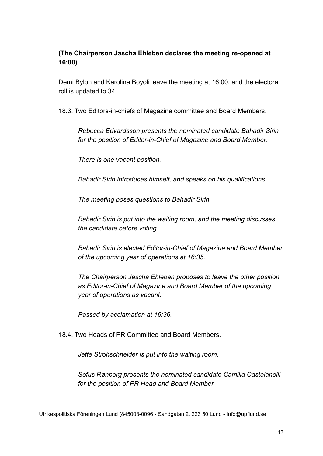## **(The Chairperson Jascha Ehleben declares the meeting re-opened at 16:00)**

Demi Bylon and Karolina Boyoli leave the meeting at 16:00, and the electoral roll is updated to 34.

18.3. Two Editors-in-chiefs of Magazine committee and Board Members.

*Rebecca Edvardsson presents the nominated candidate Bahadir Sirin for the position of Editor-in-Chief of Magazine and Board Member.*

*There is one vacant position.*

*Bahadir Sirin introduces himself, and speaks on his qualifications.*

*The meeting poses questions to Bahadir Sirin.*

*Bahadir Sirin is put into the waiting room, and the meeting discusses the candidate before voting.*

*Bahadir Sirin is elected Editor-in-Chief of Magazine and Board Member of the upcoming year of operations at 16:35.*

*The Chairperson Jascha Ehleban proposes to leave the other position as Editor-in-Chief of Magazine and Board Member of the upcoming year of operations as vacant.*

*Passed by acclamation at 16:36.*

18.4. Two Heads of PR Committee and Board Members.

*Jette Strohschneider is put into the waiting room.*

*Sofus Rønberg presents the nominated candidate Camilla Castelanelli for the position of PR Head and Board Member.*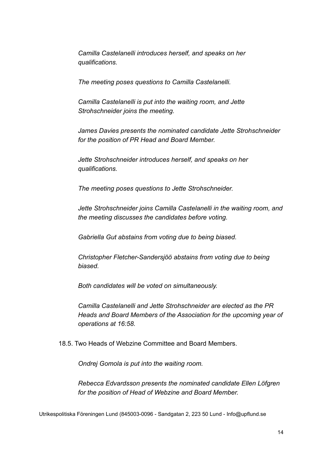*Camilla Castelanelli introduces herself, and speaks on her qualifications.*

*The meeting poses questions to Camilla Castelanelli.*

*Camilla Castelanelli is put into the waiting room, and Jette Strohschneider joins the meeting.*

*James Davies presents the nominated candidate Jette Strohschneider for the position of PR Head and Board Member.*

*Jette Strohschneider introduces herself, and speaks on her qualifications.*

*The meeting poses questions to Jette Strohschneider.*

*Jette Strohschneider joins Camilla Castelanelli in the waiting room, and the meeting discusses the candidates before voting.*

*Gabriella Gut abstains from voting due to being biased.*

*Christopher Fletcher-Sandersjöö abstains from voting due to being biased.*

*Both candidates will be voted on simultaneously.*

*Camilla Castelanelli and Jette Strohschneider are elected as the PR Heads and Board Members of the Association for the upcoming year of operations at 16:58.*

18.5. Two Heads of Webzine Committee and Board Members.

*Ondrej Gomola is put into the waiting room.*

*Rebecca Edvardsson presents the nominated candidate Ellen Löfgren for the position of Head of Webzine and Board Member.*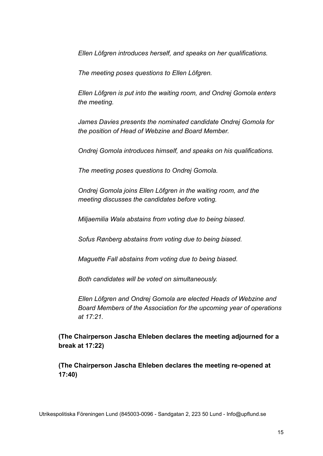*Ellen Löfgren introduces herself, and speaks on her qualifications.*

*The meeting poses questions to Ellen Löfgren.*

*Ellen Löfgren is put into the waiting room, and Ondrej Gomola enters the meeting.*

*James Davies presents the nominated candidate Ondrej Gomola for the position of Head of Webzine and Board Member.*

*Ondrej Gomola introduces himself, and speaks on his qualifications.*

*The meeting poses questions to Ondrej Gomola.*

*Ondrej Gomola joins Ellen Löfgren in the waiting room, and the meeting discusses the candidates before voting.*

*Miljaemilia Wala abstains from voting due to being biased.*

*Sofus Rønberg abstains from voting due to being biased.*

*Maguette Fall abstains from voting due to being biased.*

*Both candidates will be voted on simultaneously.*

*Ellen Löfgren and Ondrej Gomola are elected Heads of Webzine and Board Members of the Association for the upcoming year of operations at 17:21.*

**(The Chairperson Jascha Ehleben declares the meeting adjourned for a break at 17:22)**

**(The Chairperson Jascha Ehleben declares the meeting re-opened at 17:40)**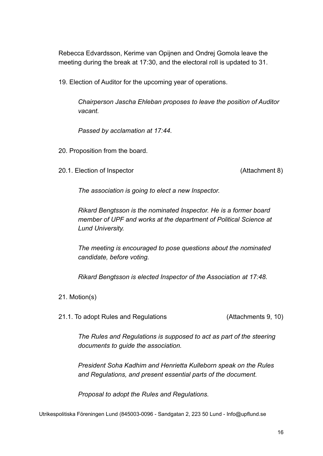Rebecca Edvardsson, Kerime van Opijnen and Ondrej Gomola leave the meeting during the break at 17:30, and the electoral roll is updated to 31.

19. Election of Auditor for the upcoming year of operations.

*Chairperson Jascha Ehleban proposes to leave the position of Auditor vacant.*

*Passed by acclamation at 17:44.*

20. Proposition from the board.

20.1. Election of Inspector (Attachment 8)

*The association is going to elect a new Inspector.*

*Rikard Bengtsson is the nominated Inspector. He is a former board member of UPF and works at the department of Political Science at Lund University.*

*The meeting is encouraged to pose questions about the nominated candidate, before voting.*

*Rikard Bengtsson is elected Inspector of the Association at 17:48.*

21. Motion(s)

21.1. To adopt Rules and Regulations (Attachments 9, 10)

*The Rules and Regulations is supposed to act as part of the steering documents to guide the association.*

*President Soha Kadhim and Henrietta Kulleborn speak on the Rules and Regulations, and present essential parts of the document.*

*Proposal to adopt the Rules and Regulations.*